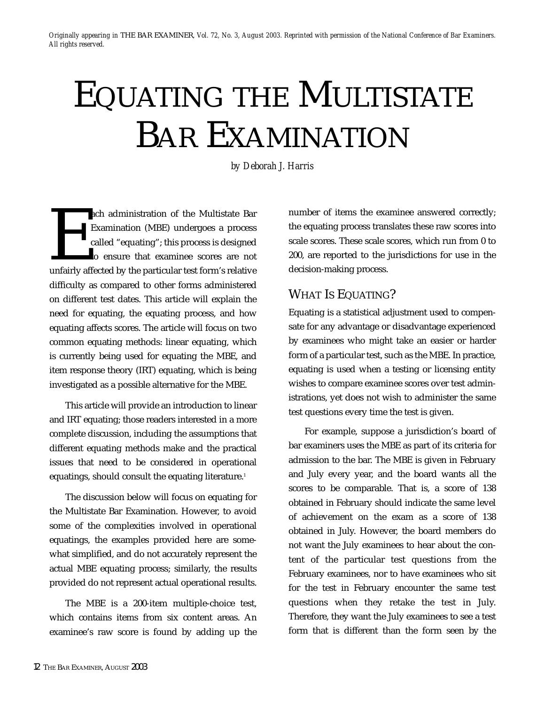# EQUATING THE MULTISTATE BAR EXAMINATION

*by Deborah J. Harris*

ach administration of the Multistate Bar<br>
Examination (MBE) undergoes a process<br>
called "equating"; this process is designed<br>
to ensure that examinee scores are not<br>
unfairly affected by the particular test form's relative Examination (MBE) undergoes a process called "equating"; this process is designed to ensure that examinee scores are not difficulty as compared to other forms administered on different test dates. This article will explain the need for equating, the equating process, and how equating affects scores. The article will focus on two common equating methods: linear equating, which is currently being used for equating the MBE, and item response theory (IRT) equating, which is being investigated as a possible alternative for the MBE.

This article will provide an introduction to linear and IRT equating; those readers interested in a more complete discussion, including the assumptions that different equating methods make and the practical issues that need to be considered in operational equatings, should consult the equating literature.<sup>1</sup>

The discussion below will focus on equating for the Multistate Bar Examination. However, to avoid some of the complexities involved in operational equatings, the examples provided here are somewhat simplified, and do not accurately represent the actual MBE equating process; similarly, the results provided do not represent actual operational results.

The MBE is a 200-item multiple-choice test, which contains items from six content areas. An examinee's raw score is found by adding up the number of items the examinee answered correctly; the equating process translates these raw scores into scale scores. These scale scores, which run from 0 to 200, are reported to the jurisdictions for use in the decision-making process.

# WHAT IS EQUATING?

Equating is a statistical adjustment used to compensate for any advantage or disadvantage experienced by examinees who might take an easier or harder form of a particular test, such as the MBE. In practice, equating is used when a testing or licensing entity wishes to compare examinee scores over test administrations, yet does not wish to administer the same test questions every time the test is given.

For example, suppose a jurisdiction's board of bar examiners uses the MBE as part of its criteria for admission to the bar. The MBE is given in February and July every year, and the board wants all the scores to be comparable. That is, a score of 138 obtained in February should indicate the same level of achievement on the exam as a score of 138 obtained in July. However, the board members do not want the July examinees to hear about the content of the particular test questions from the February examinees, nor to have examinees who sit for the test in February encounter the same test questions when they retake the test in July. Therefore, they want the July examinees to see a test form that is different than the form seen by the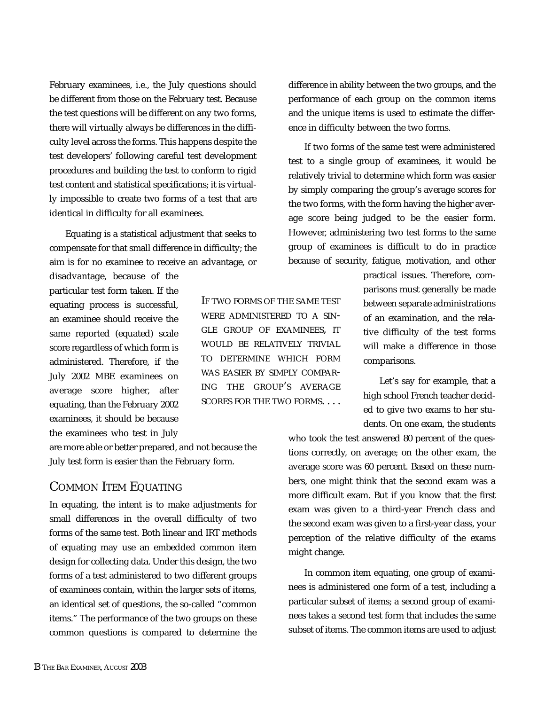February examinees, i.e., the July questions should be different from those on the February test. Because the test questions will be different on any two forms, there will virtually always be differences in the difficulty level across the forms. This happens despite the test developers' following careful test development procedures and building the test to conform to rigid test content and statistical specifications; it is virtually impossible to create two forms of a test that are identical in difficulty for all examinees.

Equating is a statistical adjustment that seeks to compensate for that small difference in difficulty; the aim is for no examinee to receive an advantage, or

disadvantage, because of the particular test form taken. If the equating process is successful, an examinee should receive the same reported (equated) scale score regardless of which form is administered. Therefore, if the July 2002 MBE examinees on average score higher, after equating, than the February 2002 examinees, it should be because the examinees who test in July

are more able or better prepared, and not because the July test form is easier than the February form.

#### COMMON ITEM EQUATING

In equating, the intent is to make adjustments for small differences in the overall difficulty of two forms of the same test. Both linear and IRT methods of equating may use an embedded common item design for collecting data. Under this design, the two forms of a test administered to two different groups of examinees contain, within the larger sets of items, an identical set of questions, the so-called "common items." The performance of the two groups on these common questions is compared to determine the

IF TWO FORMS OF THE SAME TEST WERE ADMINISTERED TO A SIN-GLE GROUP OF EXAMINEES, IT WOULD BE RELATIVELY TRIVIAL TO DETERMINE WHICH FORM WAS EASIER BY SIMPLY COMPAR-ING THE GROUP'S AVERAGE SCORES FOR THE TWO FORMS. . . .

difference in ability between the two groups, and the performance of each group on the common items and the unique items is used to estimate the difference in difficulty between the two forms.

If two forms of the same test were administered test to a single group of examinees, it would be relatively trivial to determine which form was easier by simply comparing the group's average scores for the two forms, with the form having the higher average score being judged to be the easier form. However, administering two test forms to the same group of examinees is difficult to do in practice because of security, fatigue, motivation, and other

> practical issues. Therefore, comparisons must generally be made between separate administrations of an examination, and the relative difficulty of the test forms will make a difference in those comparisons.

> Let's say for example, that a high school French teacher decided to give two exams to her students. On one exam, the students

who took the test answered 80 percent of the questions correctly, on average; on the other exam, the average score was 60 percent. Based on these numbers, one might think that the second exam was a more difficult exam. But if you know that the first exam was given to a third-year French class and the second exam was given to a first-year class, your perception of the relative difficulty of the exams might change.

In common item equating, one group of examinees is administered one form of a test, including a particular subset of items; a second group of examinees takes a second test form that includes the same subset of items. The common items are used to adjust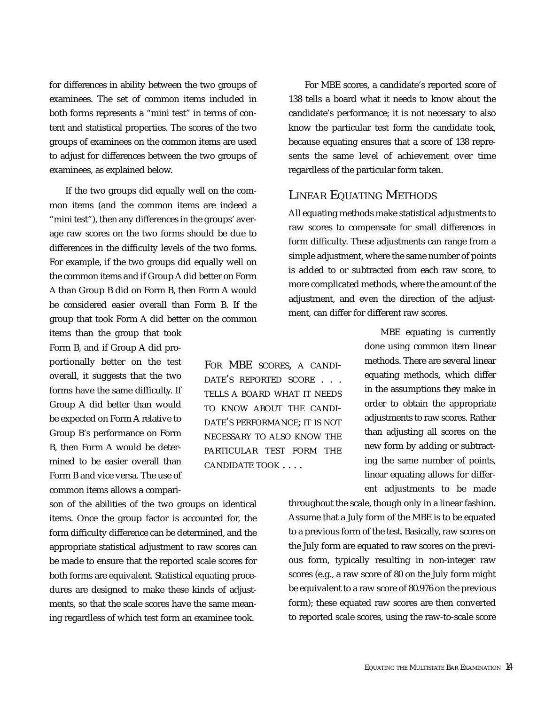for differences in ability between the two groups of examinees. The set of common items included in both forms represents a "mini test" in terms of content and statistical properties. The scores of the two groups of examinees on the common items are used to adjust for differences between the two groups of examinees, as explained below.

If the two groups did equally well on the common items (and the common items are indeed a "mini test"), then any differences in the groups' average raw scores on the two forms should be due to differences in the difficulty levels of the two forms. For example, if the two groups did equally well on the common items and if Group A did better on Form A than Group B did on Form B, then Form A would be considered easier overall than Form B. If the group that took Form A did better on the common

Form B, and if Group A did proportionally better on the test overall, it suggests that the two forms have the same difficulty. If Group A did better than would be expected on Form A relative to Group B's performance on Form B, then Form A would be determined to be easier overall than Form B and vice versa. The use of common items allows a compari-

items than the group that took

son of the abilities of the two groups on identical items. Once the group factor is accounted for, the form difficulty difference can be determined, and the appropriate statistical adjustment to raw scores can be made to ensure that the reported scale scores for both forms are equivalent. Statistical equating procedures are designed to make these kinds of adjustments, so that the scale scores have the same meaning regardless of which test form an examinee took.

For MBE scores, a candidate's reported score of 138 tells a board what it needs to know about the candidate's performance; it is not necessary to also know the particular test form the candidate took, because equating ensures that a score of 138 represents the same level of achievement over time regardless of the particular form taken.

#### LINEAR EQUATING METHODS

All equating methods make statistical adjustments to raw scores to compensate for small differences in form difficulty. These adjustments can range from a simple adjustment, where the same number of points is added to or subtracted from each raw score, to more complicated methods, where the amount of the adjustment, and even the direction of the adjustment, can differ for different raw scores.

> MBE equating is currently done using common item linear methods. There are several linear equating methods, which differ in the assumptions they make in order to obtain the appropriate adjustments to raw scores. Rather than adjusting all scores on the new form by adding or subtracting the same number of points, linear equating allows for different adjustments to be made

throughout the scale, though only in a linear fashion. Assume that a July form of the MBE is to be equated to a previous form of the test. Basically, raw scores on the July form are equated to raw scores on the previous form, typically resulting in non-integer raw scores (e.g., a raw score of 80 on the July form might be equivalent to a raw score of 80.976 on the previous form); these equated raw scores are then converted to reported scale scores, using the raw-to-scale score

FOR MBE SCORES, A CANDI-DATE'S REPORTED SCORE . . . TELLS A BOARD WHAT IT NEEDS TO KNOW ABOUT THE CANDI-DATE'S PERFORMANCE; IT IS NOT NECESSARY TO ALSO KNOW THE PARTICULAR TEST FORM THE CANDIDATE TOOK . . . .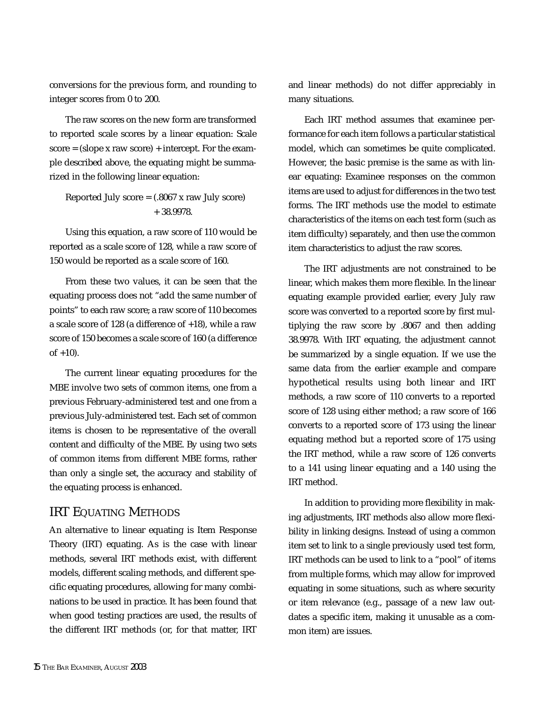conversions for the previous form, and rounding to integer scores from 0 to 200.

The raw scores on the new form are transformed to reported scale scores by a linear equation: Scale  $score = (slope x raw score) + intercept. For the exam$ ple described above, the equating might be summarized in the following linear equation:

Reported July score  $= (.8067 \times \text{raw July score})$ + 38.9978.

Using this equation, a raw score of 110 would be reported as a scale score of 128, while a raw score of 150 would be reported as a scale score of 160.

From these two values, it can be seen that the equating process does not "add the same number of points" to each raw score; a raw score of 110 becomes a scale score of 128 (a difference of  $+18$ ), while a raw score of 150 becomes a scale score of 160 (a difference  $of +10$ ).

The current linear equating procedures for the MBE involve two sets of common items, one from a previous February-administered test and one from a previous July-administered test. Each set of common items is chosen to be representative of the overall content and difficulty of the MBE. By using two sets of common items from different MBE forms, rather than only a single set, the accuracy and stability of the equating process is enhanced.

## IRT EQUATING METHODS

An alternative to linear equating is Item Response Theory (IRT) equating. As is the case with linear methods, several IRT methods exist, with different models, different scaling methods, and different specific equating procedures, allowing for many combinations to be used in practice. It has been found that when good testing practices are used, the results of the different IRT methods (or, for that matter, IRT

and linear methods) do not differ appreciably in many situations.

Each IRT method assumes that examinee performance for each item follows a particular statistical model, which can sometimes be quite complicated. However, the basic premise is the same as with linear equating: Examinee responses on the common items are used to adjust for differences in the two test forms. The IRT methods use the model to estimate characteristics of the items on each test form (such as item difficulty) separately, and then use the common item characteristics to adjust the raw scores.

The IRT adjustments are not constrained to be linear, which makes them more flexible. In the linear equating example provided earlier, every July raw score was converted to a reported score by first multiplying the raw score by .8067 and then adding 38.9978. With IRT equating, the adjustment cannot be summarized by a single equation. If we use the same data from the earlier example and compare hypothetical results using both linear and IRT methods, a raw score of 110 converts to a reported score of 128 using either method; a raw score of 166 converts to a reported score of 173 using the linear equating method but a reported score of 175 using the IRT method, while a raw score of 126 converts to a 141 using linear equating and a 140 using the IRT method.

In addition to providing more flexibility in making adjustments, IRT methods also allow more flexibility in linking designs. Instead of using a common item set to link to a single previously used test form, IRT methods can be used to link to a "pool" of items from multiple forms, which may allow for improved equating in some situations, such as where security or item relevance (e.g., passage of a new law outdates a specific item, making it unusable as a common item) are issues.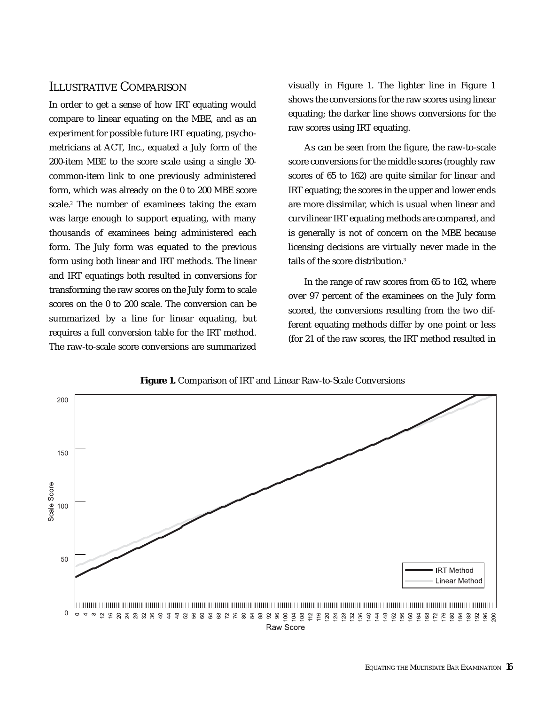## ILLUSTRATIVE COMPARISON

In order to get a sense of how IRT equating would compare to linear equating on the MBE, and as an experiment for possible future IRT equating, psychometricians at ACT, Inc., equated a July form of the 200-item MBE to the score scale using a single 30 common-item link to one previously administered form, which was already on the 0 to 200 MBE score scale.<sup>2</sup> The number of examinees taking the exam was large enough to support equating, with many thousands of examinees being administered each form. The July form was equated to the previous form using both linear and IRT methods. The linear and IRT equatings both resulted in conversions for transforming the raw scores on the July form to scale scores on the 0 to 200 scale. The conversion can be summarized by a line for linear equating, but requires a full conversion table for the IRT method. The raw-to-scale score conversions are summarized

visually in Figure 1. The lighter line in Figure 1 shows the conversions for the raw scores using linear equating; the darker line shows conversions for the raw scores using IRT equating.

As can be seen from the figure, the raw-to-scale score conversions for the middle scores (roughly raw scores of 65 to 162) are quite similar for linear and IRT equating; the scores in the upper and lower ends are more dissimilar, which is usual when linear and curvilinear IRT equating methods are compared, and is generally is not of concern on the MBE because licensing decisions are virtually never made in the tails of the score distribution.<sup>3</sup>

In the range of raw scores from 65 to 162, where over 97 percent of the examinees on the July form scored, the conversions resulting from the two different equating methods differ by one point or less (for 21 of the raw scores, the IRT method resulted in



*Figure 1.* Comparison of IRT and Linear Raw-to-Scale Conversions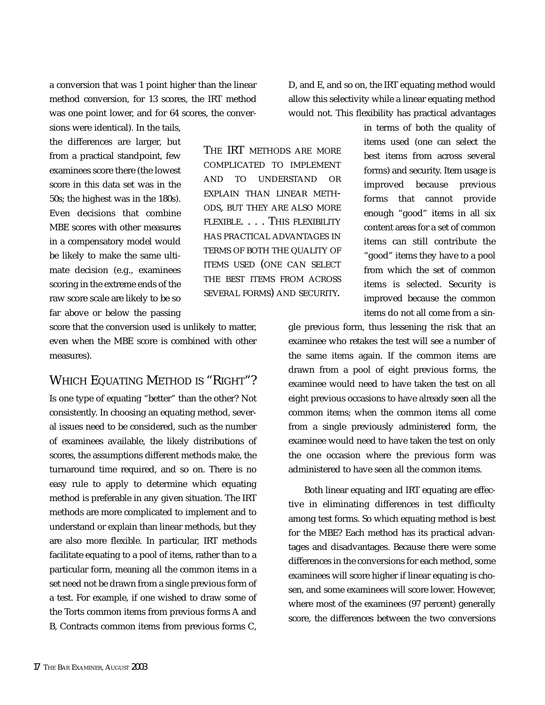a conversion that was 1 point higher than the linear method conversion, for 13 scores, the IRT method was one point lower, and for 64 scores, the converD, and E, and so on, the IRT equating method would allow this selectivity while a linear equating method would not. This flexibility has practical advantages

sions were identical). In the tails, the differences are larger, but from a practical standpoint, few examinees score there (the lowest score in this data set was in the 50s; the highest was in the 180s). Even decisions that combine MBE scores with other measures in a compensatory model would be likely to make the same ultimate decision (e.g., examinees scoring in the extreme ends of the raw score scale are likely to be so far above or below the passing

THE IRT METHODS ARE MORE COMPLICATED TO IMPLEMENT AND TO UNDERSTAND OR EXPLAIN THAN LINEAR METH-ODS, BUT THEY ARE ALSO MORE FLEXIBLE. . . . THIS FLEXIBILITY HAS PRACTICAL ADVANTAGES IN TERMS OF BOTH THE QUALITY OF ITEMS USED (ONE CAN SELECT THE BEST ITEMS FROM ACROSS SEVERAL FORMS) AND SECURITY.

score that the conversion used is unlikely to matter, even when the MBE score is combined with other measures).

# WHICH EQUATING METHOD IS "RIGHT"?

Is one type of equating "better" than the other? Not consistently. In choosing an equating method, several issues need to be considered, such as the number of examinees available, the likely distributions of scores, the assumptions different methods make, the turnaround time required, and so on. There is no easy rule to apply to determine which equating method is preferable in any given situation. The IRT methods are more complicated to implement and to understand or explain than linear methods, but they are also more flexible. In particular, IRT methods facilitate equating to a pool of items, rather than to a particular form, meaning all the common items in a set need not be drawn from a single previous form of a test. For example, if one wished to draw some of the Torts common items from previous forms A and B, Contracts common items from previous forms C, in terms of both the quality of items used (one can select the best items from across several forms) and security. Item usage is improved because previous forms that cannot provide enough "good" items in all six content areas for a set of common items can still contribute the "good" items they have to a pool from which the set of common items is selected. Security is improved because the common items do not all come from a sin-

gle previous form, thus lessening the risk that an examinee who retakes the test will see a number of the same items again. If the common items are drawn from a pool of eight previous forms, the examinee would need to have taken the test on all eight previous occasions to have already seen all the common items; when the common items all come from a single previously administered form, the examinee would need to have taken the test on only the one occasion where the previous form was administered to have seen all the common items.

Both linear equating and IRT equating are effective in eliminating differences in test difficulty among test forms. So which equating method is best for the MBE? Each method has its practical advantages and disadvantages. Because there were some differences in the conversions for each method, some examinees will score higher if linear equating is chosen, and some examinees will score lower. However, where most of the examinees (97 percent) generally score, the differences between the two conversions